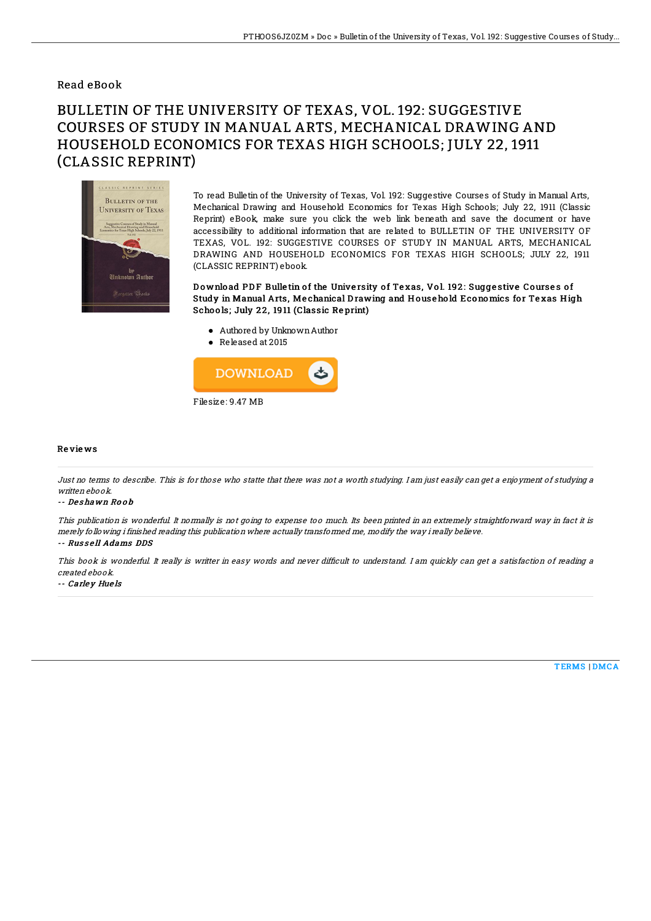## Read eBook

# BULLETIN OF THE UNIVERSITY OF TEXAS, VOL. 192: SUGGESTIVE COURSES OF STUDY IN MANUAL ARTS, MECHANICAL DRAWING AND HOUSEHOLD ECONOMICS FOR TEXAS HIGH SCHOOLS; JULY 22, 1911 (CLASSIC REPRINT)



To read Bulletin of the University of Texas, Vol. 192: Suggestive Courses of Study in Manual Arts, Mechanical Drawing and Household Economics for Texas High Schools; July 22, 1911 (Classic Reprint) eBook, make sure you click the web link beneath and save the document or have accessibility to additional information that are related to BULLETIN OF THE UNIVERSITY OF TEXAS, VOL. 192: SUGGESTIVE COURSES OF STUDY IN MANUAL ARTS, MECHANICAL DRAWING AND HOUSEHOLD ECONOMICS FOR TEXAS HIGH SCHOOLS; JULY 22, 1911 (CLASSIC REPRINT) ebook.

Download PDF Bulletin of the University of Texas, Vol. 192: Suggestive Courses of Study in Manual Arts, Mechanical Drawing and Household Economics for Texas High Schools; July 22, 1911 (Classic Reprint)

- Authored by UnknownAuthor
- Released at 2015



### Re vie ws

Just no terms to describe. This is for those who statte that there was not <sup>a</sup> worth studying. I am just easily can get <sup>a</sup> enjoyment of studying <sup>a</sup> written ebook.

#### -- De s hawn Ro o b

This publication is wonderful. It normally is not going to expense too much. Its been printed in an extremely straightforward way in fact it is merely following i finished reading this publication where actually transformed me, modify the way i really believe.

## -- Russell Adams DDS

This book is wonderful. It really is writter in easy words and never difficult to understand. I am quickly can get a satisfaction of reading a created ebook.

#### -- Carley Huels